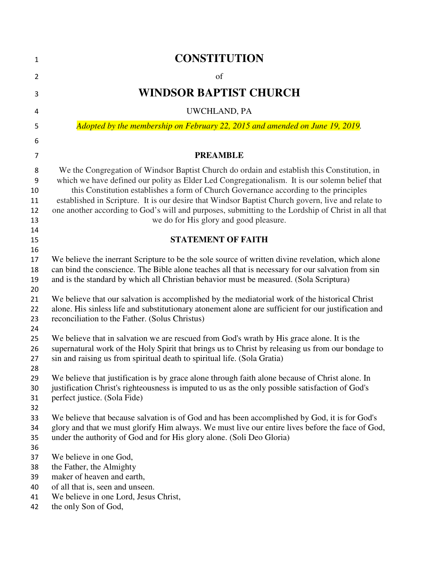| 1                                | <b>CONSTITUTION</b>                                                                                                                                                                                                                                                                                                                                                                               |
|----------------------------------|---------------------------------------------------------------------------------------------------------------------------------------------------------------------------------------------------------------------------------------------------------------------------------------------------------------------------------------------------------------------------------------------------|
| 2                                | of                                                                                                                                                                                                                                                                                                                                                                                                |
| 3                                | <b>WINDSOR BAPTIST CHURCH</b>                                                                                                                                                                                                                                                                                                                                                                     |
| 4                                | UWCHLAND, PA                                                                                                                                                                                                                                                                                                                                                                                      |
| 5                                | Adopted by the membership on February 22, 2015 and amended on June 19, 2019.                                                                                                                                                                                                                                                                                                                      |
| 6                                |                                                                                                                                                                                                                                                                                                                                                                                                   |
| 7                                | <b>PREAMBLE</b>                                                                                                                                                                                                                                                                                                                                                                                   |
| 8                                | We the Congregation of Windsor Baptist Church do ordain and establish this Constitution, in                                                                                                                                                                                                                                                                                                       |
| 9<br>10<br>11<br>12              | which we have defined our polity as Elder Led Congregationalism. It is our solemn belief that<br>this Constitution establishes a form of Church Governance according to the principles<br>established in Scripture. It is our desire that Windsor Baptist Church govern, live and relate to<br>one another according to God's will and purposes, submitting to the Lordship of Christ in all that |
| 13<br>14                         | we do for His glory and good pleasure.                                                                                                                                                                                                                                                                                                                                                            |
| 15                               | <b>STATEMENT OF FAITH</b>                                                                                                                                                                                                                                                                                                                                                                         |
| 16                               |                                                                                                                                                                                                                                                                                                                                                                                                   |
| 17<br>18<br>19                   | We believe the inerrant Scripture to be the sole source of written divine revelation, which alone<br>can bind the conscience. The Bible alone teaches all that is necessary for our salvation from sin<br>and is the standard by which all Christian behavior must be measured. (Sola Scriptura)                                                                                                  |
| 20<br>21<br>22<br>23             | We believe that our salvation is accomplished by the mediatorial work of the historical Christ<br>alone. His sinless life and substitutionary atonement alone are sufficient for our justification and<br>reconciliation to the Father. (Solus Christus)                                                                                                                                          |
| 24<br>25<br>26<br>27<br>28       | We believe that in salvation we are rescued from God's wrath by His grace alone. It is the<br>supernatural work of the Holy Spirit that brings us to Christ by releasing us from our bondage to<br>sin and raising us from spiritual death to spiritual life. (Sola Gratia)                                                                                                                       |
| 29<br>30<br>31<br>32             | We believe that justification is by grace alone through faith alone because of Christ alone. In<br>justification Christ's righteousness is imputed to us as the only possible satisfaction of God's<br>perfect justice. (Sola Fide)                                                                                                                                                               |
| 33<br>34<br>35<br>36             | We believe that because salvation is of God and has been accomplished by God, it is for God's<br>glory and that we must glorify Him always. We must live our entire lives before the face of God,<br>under the authority of God and for His glory alone. (Soli Deo Gloria)                                                                                                                        |
| 37<br>38<br>39<br>40<br>41<br>42 | We believe in one God,<br>the Father, the Almighty<br>maker of heaven and earth,<br>of all that is, seen and unseen.<br>We believe in one Lord, Jesus Christ,<br>the only Son of God,                                                                                                                                                                                                             |
|                                  |                                                                                                                                                                                                                                                                                                                                                                                                   |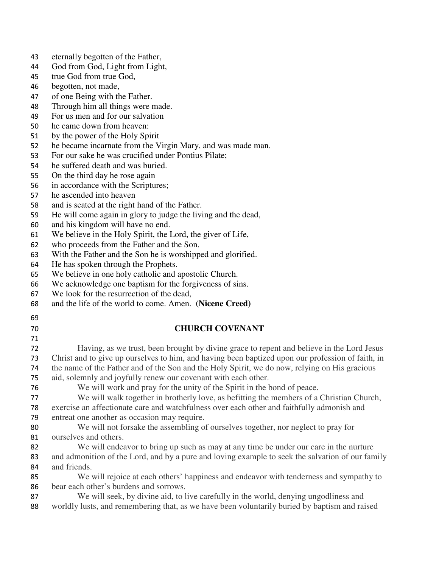- eternally begotten of the Father,
- God from God, Light from Light,
- true God from true God,
- begotten, not made,
- of one Being with the Father.
- Through him all things were made.
- For us men and for our salvation
- he came down from heaven:
- by the power of the Holy Spirit
- he became incarnate from the Virgin Mary, and was made man.
- For our sake he was crucified under Pontius Pilate;
- he suffered death and was buried.
- On the third day he rose again
- in accordance with the Scriptures;
- he ascended into heaven
- and is seated at the right hand of the Father.
- He will come again in glory to judge the living and the dead,
- and his kingdom will have no end.
- We believe in the Holy Spirit, the Lord, the giver of Life,
- who proceeds from the Father and the Son.
- With the Father and the Son he is worshipped and glorified.
- He has spoken through the Prophets.
- We believe in one holy catholic and apostolic Church.
- We acknowledge one baptism for the forgiveness of sins.
- We look for the resurrection of the dead,
- and the life of the world to come. Amen. **(Nicene Creed)**
- **CHURCH COVENANT**
- Having, as we trust, been brought by divine grace to repent and believe in the Lord Jesus Christ and to give up ourselves to him, and having been baptized upon our profession of faith, in the name of the Father and of the Son and the Holy Spirit, we do now, relying on His gracious aid, solemnly and joyfully renew our covenant with each other.
- We will work and pray for the unity of the Spirit in the bond of peace.
- We will walk together in brotherly love, as befitting the members of a Christian Church,

exercise an affectionate care and watchfulness over each other and faithfully admonish and entreat one another as occasion may require.

We will not forsake the assembling of ourselves together, nor neglect to pray for ourselves and others.

We will endeavor to bring up such as may at any time be under our care in the nurture 83 and admonition of the Lord, and by a pure and loving example to seek the salvation of our family and friends.

We will rejoice at each others' happiness and endeavor with tenderness and sympathy to bear each other's burdens and sorrows.

87 We will seek, by divine aid, to live carefully in the world, denying ungodliness and worldly lusts, and remembering that, as we have been voluntarily buried by baptism and raised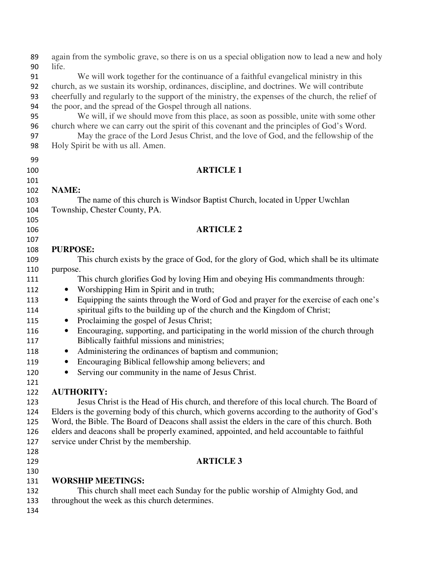| 89<br>90   | again from the symbolic grave, so there is on us a special obligation now to lead a new and holy<br>life. |
|------------|-----------------------------------------------------------------------------------------------------------|
| 91         | We will work together for the continuance of a faithful evangelical ministry in this                      |
| 92         | church, as we sustain its worship, ordinances, discipline, and doctrines. We will contribute              |
| 93         | cheerfully and regularly to the support of the ministry, the expenses of the church, the relief of        |
| 94         | the poor, and the spread of the Gospel through all nations.                                               |
| 95         | We will, if we should move from this place, as soon as possible, unite with some other                    |
| 96         | church where we can carry out the spirit of this covenant and the principles of God's Word.               |
| 97         | May the grace of the Lord Jesus Christ, and the love of God, and the fellowship of the                    |
| 98         | Holy Spirit be with us all. Amen.                                                                         |
| 99<br>100  | <b>ARTICLE 1</b>                                                                                          |
| 101        |                                                                                                           |
| 102        | <b>NAME:</b>                                                                                              |
| 103        | The name of this church is Windsor Baptist Church, located in Upper Uwchlan                               |
| 104        | Township, Chester County, PA.                                                                             |
| 105        |                                                                                                           |
| 106        | <b>ARTICLE 2</b>                                                                                          |
| 107        |                                                                                                           |
| 108        | <b>PURPOSE:</b>                                                                                           |
| 109        | This church exists by the grace of God, for the glory of God, which shall be its ultimate                 |
| 110        | purpose.                                                                                                  |
| 111        | This church glorifies God by loving Him and obeying His commandments through:                             |
| 112        | Worshipping Him in Spirit and in truth;<br>$\bullet$                                                      |
| 113        | Equipping the saints through the Word of God and prayer for the exercise of each one's<br>$\bullet$       |
| 114        | spiritual gifts to the building up of the church and the Kingdom of Christ;                               |
| 115        | Proclaiming the gospel of Jesus Christ;<br>$\bullet$                                                      |
| 116        | Encouraging, supporting, and participating in the world mission of the church through<br>$\bullet$        |
| 117        | Biblically faithful missions and ministries;                                                              |
| 118        | Administering the ordinances of baptism and communion;<br>$\bullet$                                       |
| 119        | Encouraging Biblical fellowship among believers; and<br>$\bullet$                                         |
| 120        | Serving our community in the name of Jesus Christ.                                                        |
| 121        |                                                                                                           |
| 122        | <b>AUTHORITY:</b>                                                                                         |
| 123        | Jesus Christ is the Head of His church, and therefore of this local church. The Board of                  |
| 124        | Elders is the governing body of this church, which governs according to the authority of God's            |
| 125        | Word, the Bible. The Board of Deacons shall assist the elders in the care of this church. Both            |
| 126        | elders and deacons shall be properly examined, appointed, and held accountable to faithful                |
| 127<br>128 | service under Christ by the membership.                                                                   |
| 129        | <b>ARTICLE 3</b>                                                                                          |
| 130        |                                                                                                           |
| 131        | <b>WORSHIP MEETINGS:</b>                                                                                  |
| 132        | This church shall meet each Sunday for the public worship of Almighty God, and                            |
| 133        | throughout the week as this church determines.                                                            |
| 134        |                                                                                                           |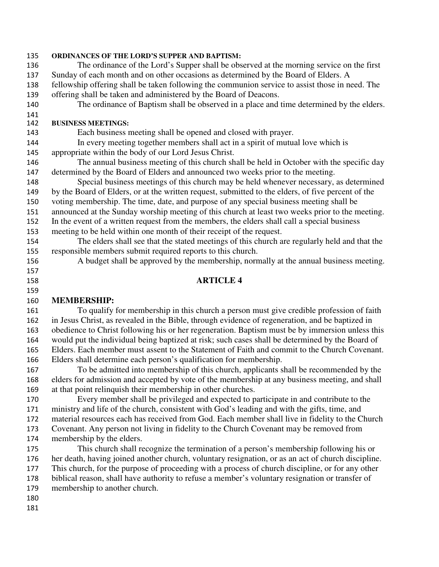## **ORDINANCES OF THE LORD'S SUPPER AND BAPTISM:**  The ordinance of the Lord's Supper shall be observed at the morning service on the first Sunday of each month and on other occasions as determined by the Board of Elders. A fellowship offering shall be taken following the communion service to assist those in need. The offering shall be taken and administered by the Board of Deacons. The ordinance of Baptism shall be observed in a place and time determined by the elders. **BUSINESS MEETINGS:**  Each business meeting shall be opened and closed with prayer. In every meeting together members shall act in a spirit of mutual love which is appropriate within the body of our Lord Jesus Christ. The annual business meeting of this church shall be held in October with the specific day determined by the Board of Elders and announced two weeks prior to the meeting. Special business meetings of this church may be held whenever necessary, as determined by the Board of Elders, or at the written request, submitted to the elders, of five percent of the voting membership. The time, date, and purpose of any special business meeting shall be announced at the Sunday worship meeting of this church at least two weeks prior to the meeting. In the event of a written request from the members, the elders shall call a special business meeting to be held within one month of their receipt of the request. The elders shall see that the stated meetings of this church are regularly held and that the responsible members submit required reports to this church. A budget shall be approved by the membership, normally at the annual business meeting. **ARTICLE 4 MEMBERSHIP:** To qualify for membership in this church a person must give credible profession of faith in Jesus Christ, as revealed in the Bible, through evidence of regeneration, and be baptized in obedience to Christ following his or her regeneration. Baptism must be by immersion unless this would put the individual being baptized at risk; such cases shall be determined by the Board of Elders. Each member must assent to the Statement of Faith and commit to the Church Covenant. Elders shall determine each person's qualification for membership. To be admitted into membership of this church, applicants shall be recommended by the elders for admission and accepted by vote of the membership at any business meeting, and shall at that point relinquish their membership in other churches. Every member shall be privileged and expected to participate in and contribute to the ministry and life of the church, consistent with God's leading and with the gifts, time, and material resources each has received from God. Each member shall live in fidelity to the Church Covenant. Any person not living in fidelity to the Church Covenant may be removed from membership by the elders. This church shall recognize the termination of a person's membership following his or her death, having joined another church, voluntary resignation, or as an act of church discipline. This church, for the purpose of proceeding with a process of church discipline, or for any other biblical reason, shall have authority to refuse a member's voluntary resignation or transfer of membership to another church.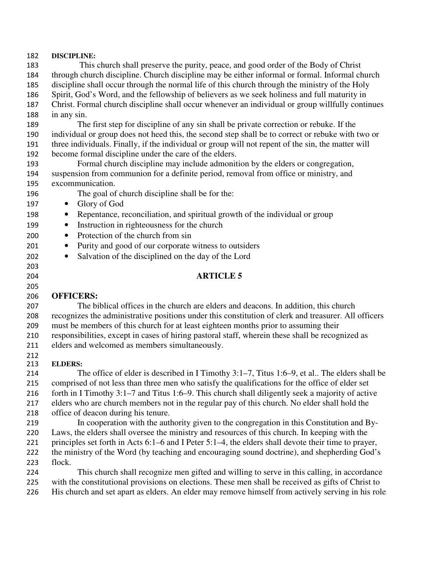## **DISCIPLINE:**

This church shall preserve the purity, peace, and good order of the Body of Christ through church discipline. Church discipline may be either informal or formal. Informal church discipline shall occur through the normal life of this church through the ministry of the Holy Spirit, God's Word, and the fellowship of believers as we seek holiness and full maturity in Christ. Formal church discipline shall occur whenever an individual or group willfully continues in any sin.

The first step for discipline of any sin shall be private correction or rebuke. If the individual or group does not heed this, the second step shall be to correct or rebuke with two or three individuals. Finally, if the individual or group will not repent of the sin, the matter will become formal discipline under the care of the elders.

- Formal church discipline may include admonition by the elders or congregation, suspension from communion for a definite period, removal from office or ministry, and excommunication.
- The goal of church discipline shall be for the:
- Glory of God
- Repentance, reconciliation, and spiritual growth of the individual or group
- Instruction in righteousness for the church
- 200 Protection of the church from sin
- Purity and good of our corporate witness to outsiders
- Salvation of the disciplined on the day of the Lord

## **ARTICLE 5**

#### **OFFICERS:**

The biblical offices in the church are elders and deacons. In addition, this church recognizes the administrative positions under this constitution of clerk and treasurer. All officers must be members of this church for at least eighteen months prior to assuming their responsibilities, except in cases of hiring pastoral staff, wherein these shall be recognized as

elders and welcomed as members simultaneously.

#### **ELDERS:**

The office of elder is described in I Timothy 3:1–7, Titus 1:6–9, et al.. The elders shall be comprised of not less than three men who satisfy the qualifications for the office of elder set forth in I Timothy 3:1–7 and Titus 1:6–9. This church shall diligently seek a majority of active elders who are church members not in the regular pay of this church. No elder shall hold the office of deacon during his tenure.

In cooperation with the authority given to the congregation in this Constitution and By-

Laws, the elders shall oversee the ministry and resources of this church. In keeping with the

principles set forth in Acts 6:1–6 and I Peter 5:1–4, the elders shall devote their time to prayer,

- the ministry of the Word (by teaching and encouraging sound doctrine), and shepherding God's flock.
- This church shall recognize men gifted and willing to serve in this calling, in accordance with the constitutional provisions on elections. These men shall be received as gifts of Christ to
- His church and set apart as elders. An elder may remove himself from actively serving in his role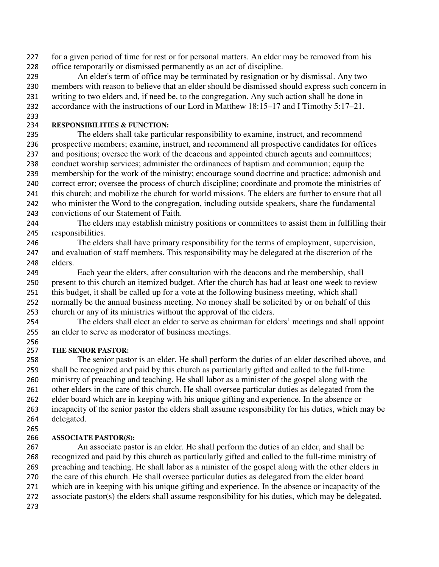for a given period of time for rest or for personal matters. An elder may be removed from his office temporarily or dismissed permanently as an act of discipline.

An elder's term of office may be terminated by resignation or by dismissal. Any two members with reason to believe that an elder should be dismissed should express such concern in writing to two elders and, if need be, to the congregation. Any such action shall be done in accordance with the instructions of our Lord in Matthew 18:15–17 and I Timothy 5:17–21. 

## **RESPONSIBILITIES & FUNCTION:**

The elders shall take particular responsibility to examine, instruct, and recommend prospective members; examine, instruct, and recommend all prospective candidates for offices 237 and positions; oversee the work of the deacons and appointed church agents and committees; conduct worship services; administer the ordinances of baptism and communion; equip the membership for the work of the ministry; encourage sound doctrine and practice; admonish and correct error; oversee the process of church discipline; coordinate and promote the ministries of this church; and mobilize the church for world missions. The elders are further to ensure that all who minister the Word to the congregation, including outside speakers, share the fundamental convictions of our Statement of Faith.

The elders may establish ministry positions or committees to assist them in fulfilling their responsibilities.

The elders shall have primary responsibility for the terms of employment, supervision, and evaluation of staff members. This responsibility may be delegated at the discretion of the elders.

Each year the elders, after consultation with the deacons and the membership, shall present to this church an itemized budget. After the church has had at least one week to review this budget, it shall be called up for a vote at the following business meeting, which shall normally be the annual business meeting. No money shall be solicited by or on behalf of this church or any of its ministries without the approval of the elders.

The elders shall elect an elder to serve as chairman for elders' meetings and shall appoint an elder to serve as moderator of business meetings.

#### **THE SENIOR PASTOR:**

The senior pastor is an elder. He shall perform the duties of an elder described above, and shall be recognized and paid by this church as particularly gifted and called to the full-time ministry of preaching and teaching. He shall labor as a minister of the gospel along with the other elders in the care of this church. He shall oversee particular duties as delegated from the elder board which are in keeping with his unique gifting and experience. In the absence or incapacity of the senior pastor the elders shall assume responsibility for his duties, which may be delegated.

## **ASSOCIATE PASTOR(S):**

An associate pastor is an elder. He shall perform the duties of an elder, and shall be recognized and paid by this church as particularly gifted and called to the full-time ministry of preaching and teaching. He shall labor as a minister of the gospel along with the other elders in the care of this church. He shall oversee particular duties as delegated from the elder board which are in keeping with his unique gifting and experience. In the absence or incapacity of the associate pastor(s) the elders shall assume responsibility for his duties, which may be delegated.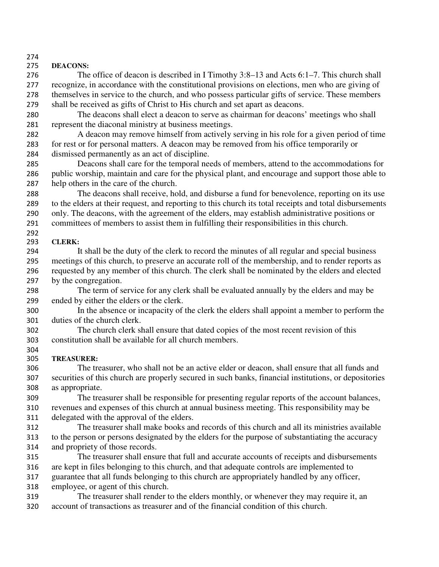## **DEACONS:**

The office of deacon is described in I Timothy 3:8–13 and Acts 6:1–7. This church shall recognize, in accordance with the constitutional provisions on elections, men who are giving of themselves in service to the church, and who possess particular gifts of service. These members shall be received as gifts of Christ to His church and set apart as deacons.

The deacons shall elect a deacon to serve as chairman for deacons' meetings who shall represent the diaconal ministry at business meetings.

A deacon may remove himself from actively serving in his role for a given period of time for rest or for personal matters. A deacon may be removed from his office temporarily or dismissed permanently as an act of discipline.

Deacons shall care for the temporal needs of members, attend to the accommodations for public worship, maintain and care for the physical plant, and encourage and support those able to help others in the care of the church.

The deacons shall receive, hold, and disburse a fund for benevolence, reporting on its use to the elders at their request, and reporting to this church its total receipts and total disbursements only. The deacons, with the agreement of the elders, may establish administrative positions or committees of members to assist them in fulfilling their responsibilities in this church.

#### **CLERK:**

It shall be the duty of the clerk to record the minutes of all regular and special business meetings of this church, to preserve an accurate roll of the membership, and to render reports as requested by any member of this church. The clerk shall be nominated by the elders and elected by the congregation.

The term of service for any clerk shall be evaluated annually by the elders and may be ended by either the elders or the clerk.

In the absence or incapacity of the clerk the elders shall appoint a member to perform the duties of the church clerk.

The church clerk shall ensure that dated copies of the most recent revision of this constitution shall be available for all church members.

#### **TREASURER:**

The treasurer, who shall not be an active elder or deacon, shall ensure that all funds and securities of this church are properly secured in such banks, financial institutions, or depositories as appropriate.

The treasurer shall be responsible for presenting regular reports of the account balances, revenues and expenses of this church at annual business meeting. This responsibility may be delegated with the approval of the elders.

- The treasurer shall make books and records of this church and all its ministries available to the person or persons designated by the elders for the purpose of substantiating the accuracy and propriety of those records.
- The treasurer shall ensure that full and accurate accounts of receipts and disbursements are kept in files belonging to this church, and that adequate controls are implemented to

guarantee that all funds belonging to this church are appropriately handled by any officer, employee, or agent of this church.

The treasurer shall render to the elders monthly, or whenever they may require it, an account of transactions as treasurer and of the financial condition of this church.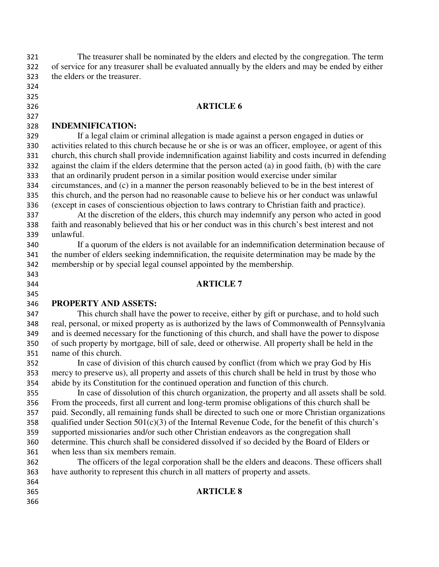The treasurer shall be nominated by the elders and elected by the congregation. The term of service for any treasurer shall be evaluated annually by the elders and may be ended by either the elders or the treasurer.

## 

#### **ARTICLE 6**

#### **INDEMNIFICATION:**

If a legal claim or criminal allegation is made against a person engaged in duties or activities related to this church because he or she is or was an officer, employee, or agent of this church, this church shall provide indemnification against liability and costs incurred in defending against the claim if the elders determine that the person acted (a) in good faith, (b) with the care that an ordinarily prudent person in a similar position would exercise under similar circumstances, and (c) in a manner the person reasonably believed to be in the best interest of this church, and the person had no reasonable cause to believe his or her conduct was unlawful (except in cases of conscientious objection to laws contrary to Christian faith and practice). At the discretion of the elders, this church may indemnify any person who acted in good faith and reasonably believed that his or her conduct was in this church's best interest and not unlawful.

If a quorum of the elders is not available for an indemnification determination because of the number of elders seeking indemnification, the requisite determination may be made by the membership or by special legal counsel appointed by the membership.

#### **ARTICLE 7**

#### **PROPERTY AND ASSETS:**

This church shall have the power to receive, either by gift or purchase, and to hold such real, personal, or mixed property as is authorized by the laws of Commonwealth of Pennsylvania and is deemed necessary for the functioning of this church, and shall have the power to dispose of such property by mortgage, bill of sale, deed or otherwise. All property shall be held in the name of this church.

In case of division of this church caused by conflict (from which we pray God by His mercy to preserve us), all property and assets of this church shall be held in trust by those who abide by its Constitution for the continued operation and function of this church.

In case of dissolution of this church organization, the property and all assets shall be sold. From the proceeds, first all current and long-term promise obligations of this church shall be paid. Secondly, all remaining funds shall be directed to such one or more Christian organizations qualified under Section 501(c)(3) of the Internal Revenue Code, for the benefit of this church's supported missionaries and/or such other Christian endeavors as the congregation shall determine. This church shall be considered dissolved if so decided by the Board of Elders or when less than six members remain.

- The officers of the legal corporation shall be the elders and deacons. These officers shall have authority to represent this church in all matters of property and assets.
- 
- 
- 

#### **ARTICLE 8**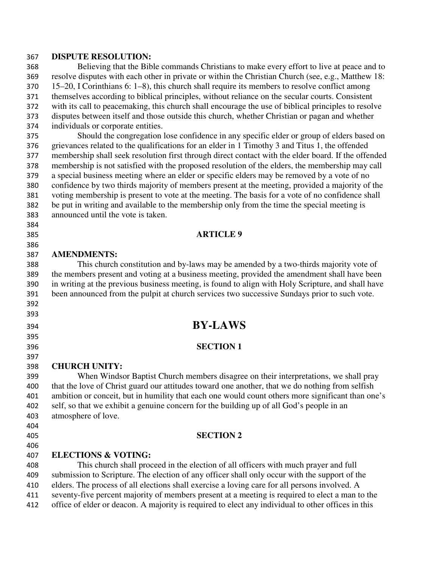#### **DISPUTE RESOLUTION:**

Believing that the Bible commands Christians to make every effort to live at peace and to resolve disputes with each other in private or within the Christian Church (see, e.g., Matthew 18: 15–20, I Corinthians 6: 1–8), this church shall require its members to resolve conflict among themselves according to biblical principles, without reliance on the secular courts. Consistent with its call to peacemaking, this church shall encourage the use of biblical principles to resolve disputes between itself and those outside this church, whether Christian or pagan and whether individuals or corporate entities. Should the congregation lose confidence in any specific elder or group of elders based on grievances related to the qualifications for an elder in 1 Timothy 3 and Titus 1, the offended membership shall seek resolution first through direct contact with the elder board. If the offended membership is not satisfied with the proposed resolution of the elders, the membership may call a special business meeting where an elder or specific elders may be removed by a vote of no confidence by two thirds majority of members present at the meeting, provided a majority of the voting membership is present to vote at the meeting. The basis for a vote of no confidence shall be put in writing and available to the membership only from the time the special meeting is announced until the vote is taken. **ARTICLE 9 AMENDMENTS:**  This church constitution and by-laws may be amended by a two-thirds majority vote of the members present and voting at a business meeting, provided the amendment shall have been in writing at the previous business meeting, is found to align with Holy Scripture, and shall have been announced from the pulpit at church services two successive Sundays prior to such vote. **BY-LAWS SECTION 1 CHURCH UNITY:**  When Windsor Baptist Church members disagree on their interpretations, we shall pray that the love of Christ guard our attitudes toward one another, that we do nothing from selfish ambition or conceit, but in humility that each one would count others more significant than one's self, so that we exhibit a genuine concern for the building up of all God's people in an atmosphere of love. **SECTION 2 ELECTIONS & VOTING:**  This church shall proceed in the election of all officers with much prayer and full submission to Scripture. The election of any officer shall only occur with the support of the elders. The process of all elections shall exercise a loving care for all persons involved. A seventy-five percent majority of members present at a meeting is required to elect a man to the office of elder or deacon. A majority is required to elect any individual to other offices in this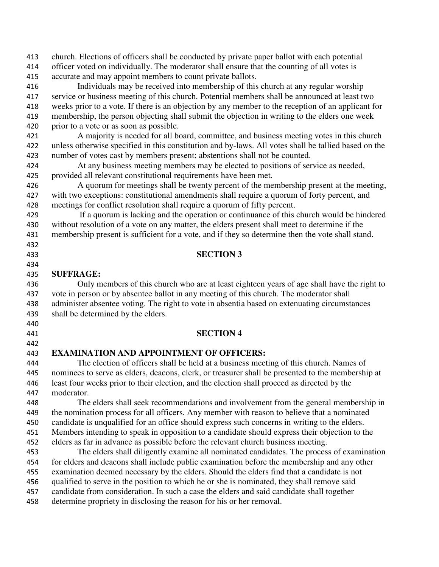church. Elections of officers shall be conducted by private paper ballot with each potential

officer voted on individually. The moderator shall ensure that the counting of all votes is accurate and may appoint members to count private ballots.

Individuals may be received into membership of this church at any regular worship service or business meeting of this church. Potential members shall be announced at least two weeks prior to a vote. If there is an objection by any member to the reception of an applicant for membership, the person objecting shall submit the objection in writing to the elders one week

prior to a vote or as soon as possible.

A majority is needed for all board, committee, and business meeting votes in this church unless otherwise specified in this constitution and by-laws. All votes shall be tallied based on the number of votes cast by members present; abstentions shall not be counted.

At any business meeting members may be elected to positions of service as needed, provided all relevant constitutional requirements have been met.

A quorum for meetings shall be twenty percent of the membership present at the meeting, with two exceptions: constitutional amendments shall require a quorum of forty percent, and meetings for conflict resolution shall require a quorum of fifty percent.

If a quorum is lacking and the operation or continuance of this church would be hindered without resolution of a vote on any matter, the elders present shall meet to determine if the membership present is sufficient for a vote, and if they so determine then the vote shall stand. 

# 

#### **SECTION 3**

#### **SUFFRAGE:**

Only members of this church who are at least eighteen years of age shall have the right to vote in person or by absentee ballot in any meeting of this church. The moderator shall administer absentee voting. The right to vote in absentia based on extenuating circumstances shall be determined by the elders.

## 

#### **SECTION 4**

#### **EXAMINATION AND APPOINTMENT OF OFFICERS:**

The election of officers shall be held at a business meeting of this church. Names of nominees to serve as elders, deacons, clerk, or treasurer shall be presented to the membership at least four weeks prior to their election, and the election shall proceed as directed by the moderator.

The elders shall seek recommendations and involvement from the general membership in the nomination process for all officers. Any member with reason to believe that a nominated candidate is unqualified for an office should express such concerns in writing to the elders.

Members intending to speak in opposition to a candidate should express their objection to the

elders as far in advance as possible before the relevant church business meeting.

The elders shall diligently examine all nominated candidates. The process of examination for elders and deacons shall include public examination before the membership and any other examination deemed necessary by the elders. Should the elders find that a candidate is not qualified to serve in the position to which he or she is nominated, they shall remove said candidate from consideration. In such a case the elders and said candidate shall together

determine propriety in disclosing the reason for his or her removal.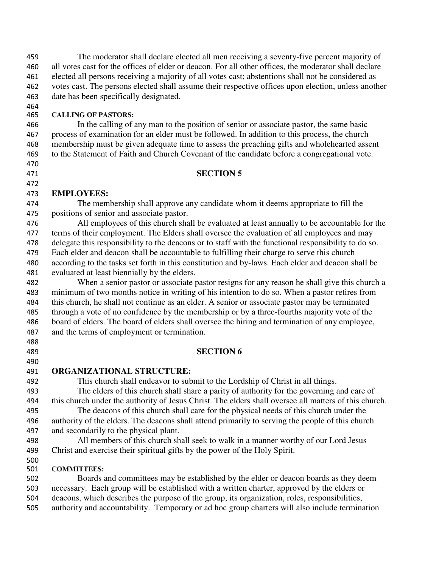all votes cast for the offices of elder or deacon. For all other offices, the moderator shall declare elected all persons receiving a majority of all votes cast; abstentions shall not be considered as votes cast. The persons elected shall assume their respective offices upon election, unless another date has been specifically designated. **CALLING OF PASTORS:** In the calling of any man to the position of senior or associate pastor, the same basic process of examination for an elder must be followed. In addition to this process, the church membership must be given adequate time to assess the preaching gifts and wholehearted assent to the Statement of Faith and Church Covenant of the candidate before a congregational vote. **SECTION 5 EMPLOYEES:**  The membership shall approve any candidate whom it deems appropriate to fill the positions of senior and associate pastor. All employees of this church shall be evaluated at least annually to be accountable for the terms of their employment. The Elders shall oversee the evaluation of all employees and may delegate this responsibility to the deacons or to staff with the functional responsibility to do so. Each elder and deacon shall be accountable to fulfilling their charge to serve this church according to the tasks set forth in this constitution and by-laws. Each elder and deacon shall be evaluated at least biennially by the elders. When a senior pastor or associate pastor resigns for any reason he shall give this church a minimum of two months notice in writing of his intention to do so. When a pastor retires from this church, he shall not continue as an elder. A senior or associate pastor may be terminated through a vote of no confidence by the membership or by a three-fourths majority vote of the board of elders. The board of elders shall oversee the hiring and termination of any employee, and the terms of employment or termination. **SECTION 6 ORGANIZATIONAL STRUCTURE:**  This church shall endeavor to submit to the Lordship of Christ in all things. The elders of this church shall share a parity of authority for the governing and care of this church under the authority of Jesus Christ. The elders shall oversee all matters of this church. The deacons of this church shall care for the physical needs of this church under the authority of the elders. The deacons shall attend primarily to serving the people of this church and secondarily to the physical plant. All members of this church shall seek to walk in a manner worthy of our Lord Jesus Christ and exercise their spiritual gifts by the power of the Holy Spirit. **COMMITTEES:**  Boards and committees may be established by the elder or deacon boards as they deem necessary. Each group will be established with a written charter, approved by the elders or deacons, which describes the purpose of the group, its organization, roles, responsibilities, authority and accountability. Temporary or ad hoc group charters will also include termination

The moderator shall declare elected all men receiving a seventy-five percent majority of